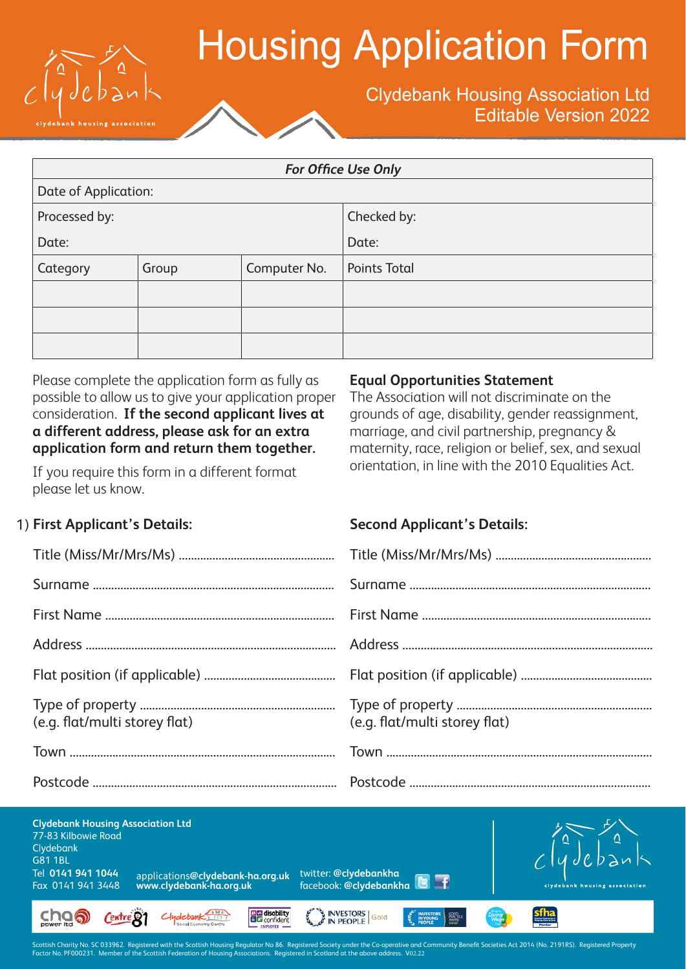

# Housing Application Form

### Clydebank Housing Association Ltd Editable Version 2022

| <b>For Office Use Only</b> |       |              |                     |  |
|----------------------------|-------|--------------|---------------------|--|
| Date of Application:       |       |              |                     |  |
| Processed by:              |       |              | Checked by:         |  |
| Date:                      |       |              | Date:               |  |
| Category                   | Group | Computer No. | <b>Points Total</b> |  |
|                            |       |              |                     |  |
|                            |       |              |                     |  |
|                            |       |              |                     |  |

Please complete the application form as fully as possible to allow us to give your application proper consideration. **If the second applicant lives at a different address, please ask for an extra application form and return them together.**

If you require this form in a different format please let us know.

#### **Equal Opportunities Statement**

The Association will not discriminate on the grounds of age, disability, gender reassignment, marriage, and civil partnership, pregnancy & maternity, race, religion or belief, sex, and sexual orientation, in line with the 2010 Equalities Act.

### 1) **First Applicant's Details: Second Applicant's Details:**

| (e.g. flat/multi storey flat) | (e.g. flat/multi storey flat) |
|-------------------------------|-------------------------------|
|                               |                               |
|                               |                               |



.<br>der the Co-operative and Community Benefit Societies Act 2014 (No. 2191RS). Registered Property .<br>Ittish Charity No. SC 033962. Registered with the Scottis<br>tor No. PF000231. Member of <u>the Scottish Federation a</u>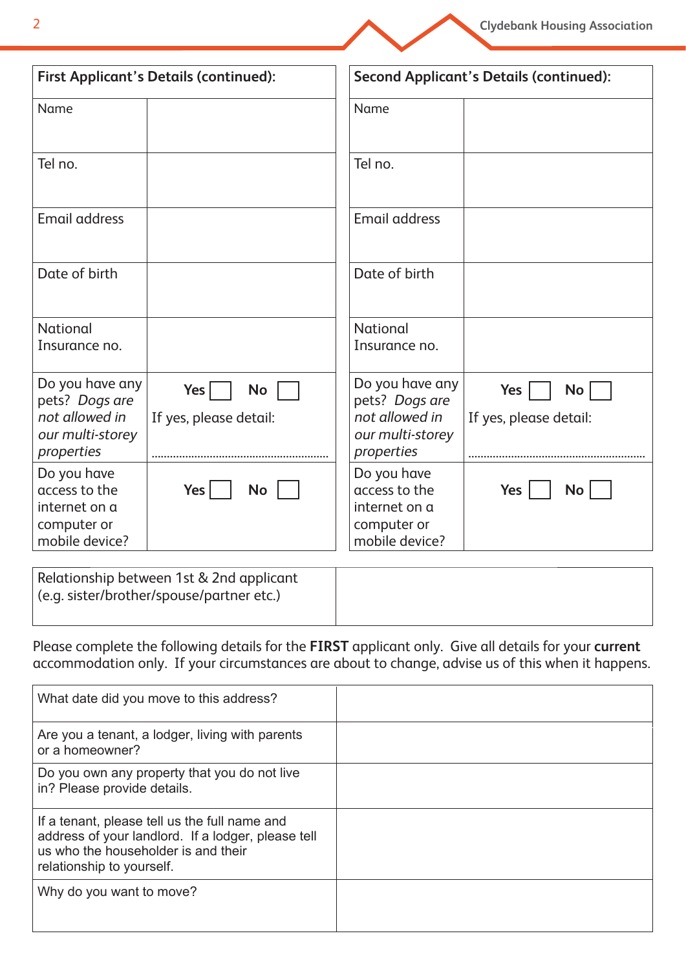

| <b>First Applicant's Details (continued):</b>                                         |                                            | <b>Second Applicant's Details (continued):</b>                                        |                                     |  |
|---------------------------------------------------------------------------------------|--------------------------------------------|---------------------------------------------------------------------------------------|-------------------------------------|--|
| Name                                                                                  |                                            | Name                                                                                  |                                     |  |
| Tel no.                                                                               |                                            | Tel no.                                                                               |                                     |  |
| <b>Email address</b>                                                                  |                                            | <b>Email address</b>                                                                  |                                     |  |
| Date of birth                                                                         |                                            | Date of birth                                                                         |                                     |  |
| National<br>Insurance no.                                                             |                                            | National<br>Insurance no.                                                             |                                     |  |
| Do you have any<br>pets? Dogs are<br>not allowed in<br>our multi-storey<br>properties | Yes<br><b>No</b><br>If yes, please detail: | Do you have any<br>pets? Dogs are<br>not allowed in<br>our multi-storey<br>properties | Yes<br>No<br>If yes, please detail: |  |
| Do you have<br>access to the<br>internet on a<br>computer or<br>mobile device?        | Yes<br><b>No</b>                           | Do you have<br>access to the<br>internet on a<br>computer or<br>mobile device?        | <b>No</b><br>Yes                    |  |

| Relationship between 1st & 2nd applicant  |  |
|-------------------------------------------|--|
| (e.g. sister/brother/spouse/partner etc.) |  |
|                                           |  |

Please complete the following details for the **FIRST** applicant only. Give all details for your **current** accommodation only. If your circumstances are about to change, advise us of this when it happens.

| What date did you move to this address?                                                                                                                                 |  |
|-------------------------------------------------------------------------------------------------------------------------------------------------------------------------|--|
| Are you a tenant, a lodger, living with parents<br>or a homeowner?                                                                                                      |  |
| Do you own any property that you do not live<br>in? Please provide details.                                                                                             |  |
| If a tenant, please tell us the full name and<br>address of your landlord. If a lodger, please tell<br>us who the householder is and their<br>relationship to yourself. |  |
| Why do you want to move?                                                                                                                                                |  |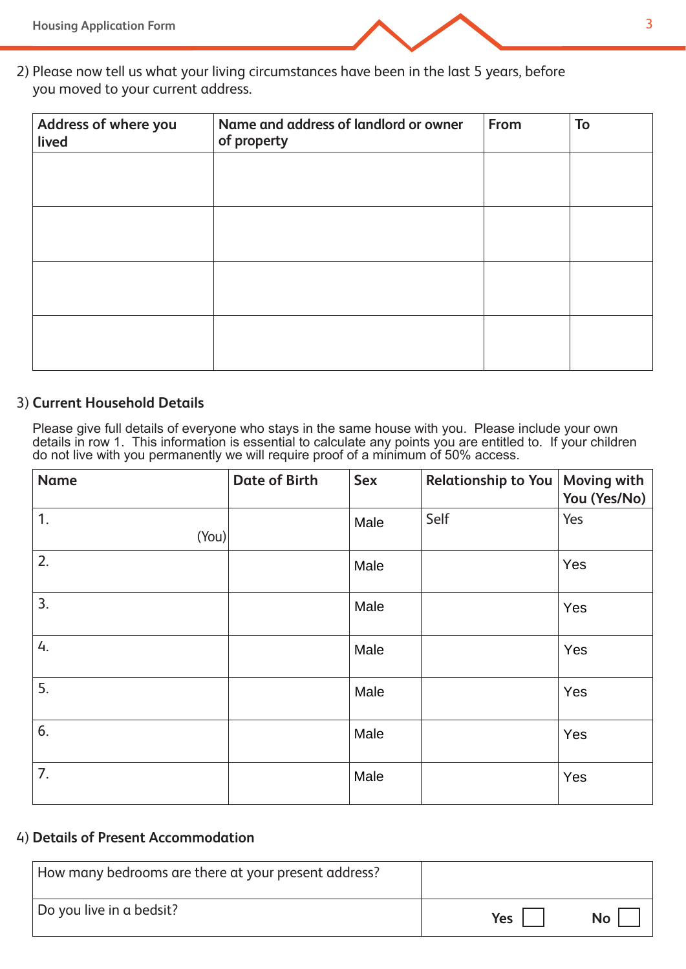

2) Please now tell us what your living circumstances have been in the last 5 years, before you moved to your current address.

| Address of where you<br>lived | Name and address of landlord or owner<br>of property | From | To |
|-------------------------------|------------------------------------------------------|------|----|
|                               |                                                      |      |    |
|                               |                                                      |      |    |
|                               |                                                      |      |    |
|                               |                                                      |      |    |
|                               |                                                      |      |    |

#### 3) **Current Household Details**

Please give full details of everyone who stays in the same house with you. Please include your own details in row 1. This information is essential to calculate any points you are entitled to. If your children do not live with you permanently we will require proof of a minimum of 50% access.

| <b>Name</b> | <b>Date of Birth</b> | <b>Sex</b> | Relationship to You   Moving with | You (Yes/No) |
|-------------|----------------------|------------|-----------------------------------|--------------|
| 1.<br>(You) |                      | Male       | Self                              | Yes          |
| 2.          |                      | Male       |                                   | Yes          |
| 3.          |                      | Male       |                                   | Yes          |
| 4.          |                      | Male       |                                   | Yes          |
| 5.          |                      | Male       |                                   | Yes          |
| 6.          |                      | Male       |                                   | Yes          |
| 7.          |                      | Male       |                                   | Yes          |

#### 4) **Details of Present Accommodation**

| How many bedrooms are there at your present address? |            |                 |
|------------------------------------------------------|------------|-----------------|
| Do you live in a bedsit?                             | <b>Yes</b> | No <sub>1</sub> |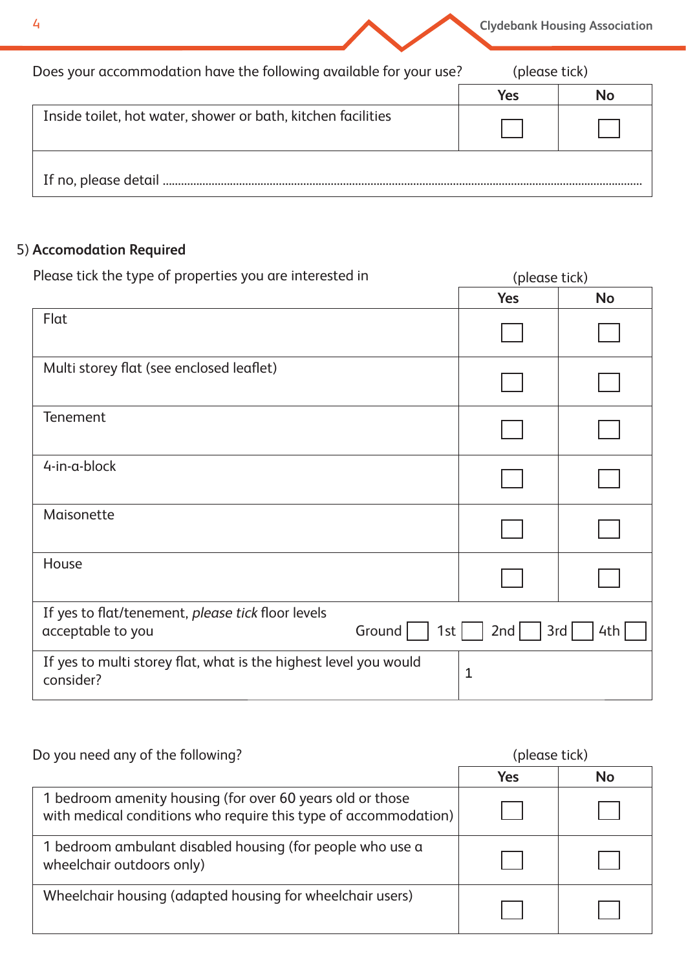

**Clydebank Housing Association**

| Does your accommodation have the following available for your use? |     | (please tick) |  |
|--------------------------------------------------------------------|-----|---------------|--|
|                                                                    | Yes | <b>No</b>     |  |
| Inside toilet, hot water, shower or bath, kitchen facilities       |     |               |  |
| If no, please detail.                                              |     |               |  |

## 5) **Accomodation Required**

| Please tick the type of properties you are interested in                                  | (please tick) |            |  |
|-------------------------------------------------------------------------------------------|---------------|------------|--|
|                                                                                           | <b>Yes</b>    | <b>No</b>  |  |
| Flat                                                                                      |               |            |  |
| Multi storey flat (see enclosed leaflet)                                                  |               |            |  |
| Tenement                                                                                  |               |            |  |
| 4-in-a-block                                                                              |               |            |  |
| Maisonette                                                                                |               |            |  |
| House                                                                                     |               |            |  |
| If yes to flat/tenement, please tick floor levels<br>acceptable to you<br>Ground  <br>1st | 2nd           | 3rd<br>4th |  |
| If yes to multi storey flat, what is the highest level you would<br>consider?             | 1             |            |  |

| Do you need any of the following?                                                                                            | (please tick) |           |
|------------------------------------------------------------------------------------------------------------------------------|---------------|-----------|
|                                                                                                                              | Yes           | <b>No</b> |
| 1 bedroom amenity housing (for over 60 years old or those<br>with medical conditions who require this type of accommodation) |               |           |
| 1 bedroom ambulant disabled housing (for people who use a<br>wheelchair outdoors only)                                       |               |           |
| Wheelchair housing (adapted housing for wheelchair users)                                                                    |               |           |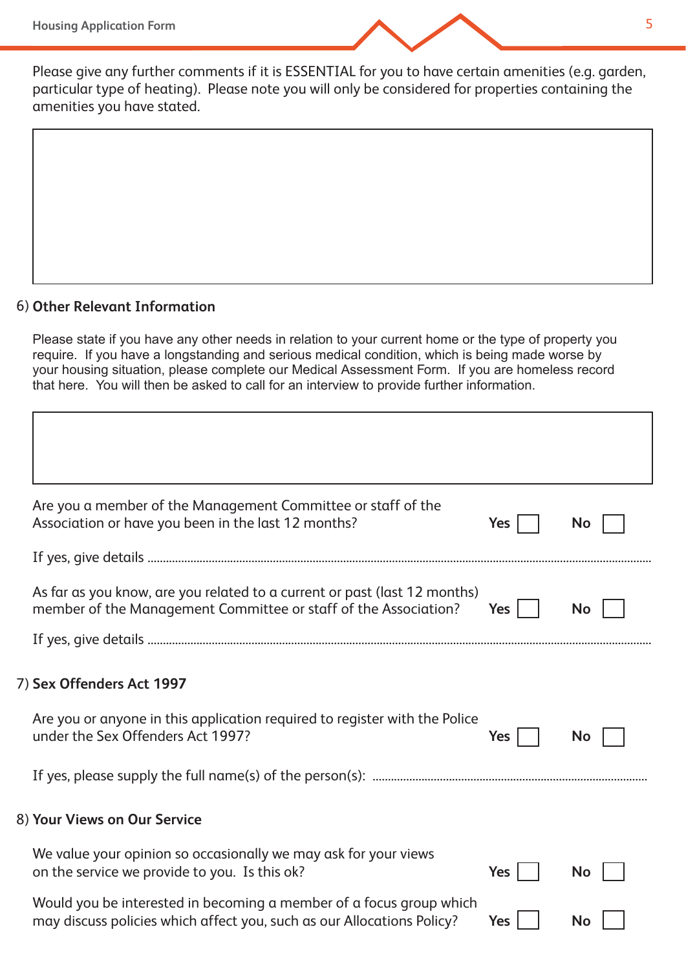

Please give any further comments if it is ESSENTIAL for you to have certain amenities (e.g. garden, particular type of heating). Please note you will only be considered for properties containing the amenities you have stated.

#### **Other Relevant Information** 6)

Please state if you have any other needs in relation to your current home or the type of property you require. If you have a longstanding and serious medical condition, which is being made worse by your housing situation, please complete our Medical Assessment Form. If you are homeless record that here. You will then be asked to call for an interview to provide further information.

| Are you a member of the Management Committee or staff of the<br>Association or have you been in the last 12 months?                                                          | Yes        | <b>No</b> |
|------------------------------------------------------------------------------------------------------------------------------------------------------------------------------|------------|-----------|
|                                                                                                                                                                              |            |           |
| As far as you know, are you related to a current or past (last 12 months)<br>member of the Management Committee or staff of the Association?                                 | Yes        | <b>No</b> |
|                                                                                                                                                                              |            |           |
| 7) Sex Offenders Act 1997<br>Are you or anyone in this application required to register with the Police<br>under the Sex Offenders Act 1997?<br>8) Your Views on Our Service | <b>Yes</b> | No        |
|                                                                                                                                                                              |            |           |
| We value your opinion so occasionally we may ask for your views<br>on the service we provide to you. Is this ok?                                                             | Yes        | <b>No</b> |
| Would you be interested in becoming a member of a focus group which<br>may discuss policies which affect you, such as our Allocations Policy?                                | <b>Yes</b> | No        |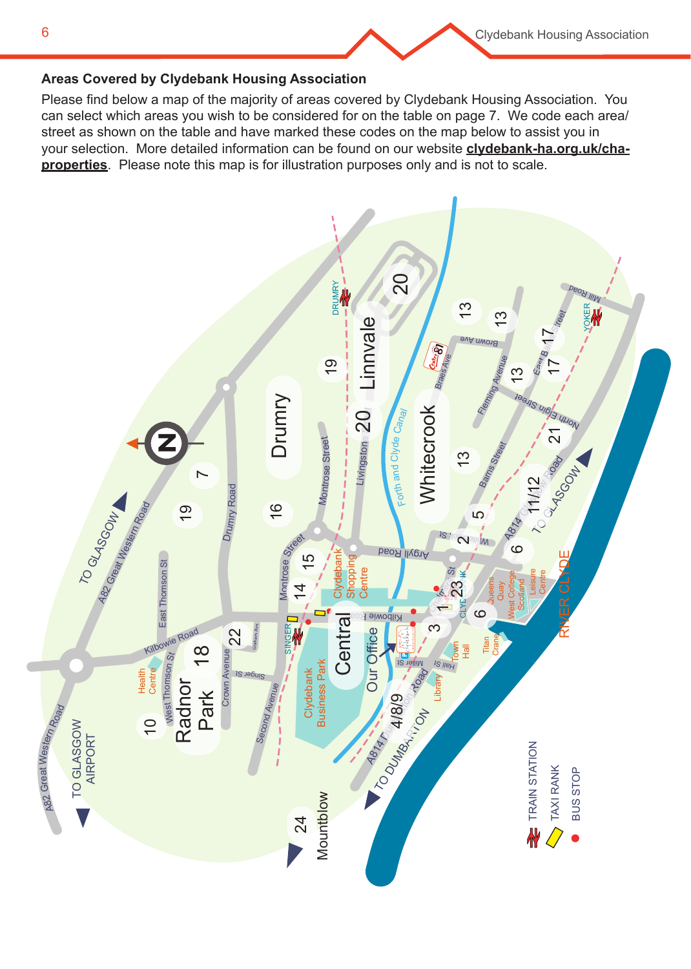

#### **Areas Covered by Clydebank Housing Association**

Please find below a map of the majority of areas covered by Clydebank Housing Association. You can select which areas you wish to be considered for on the table on page 7. We code each area/ street as shown on the table and have marked these codes on the map below to assist you in your selection. More detailed information can be found on our website **clydebank-ha.org.uk/chaproperties**. Please note this map is for illustration purposes only and is not to scale.

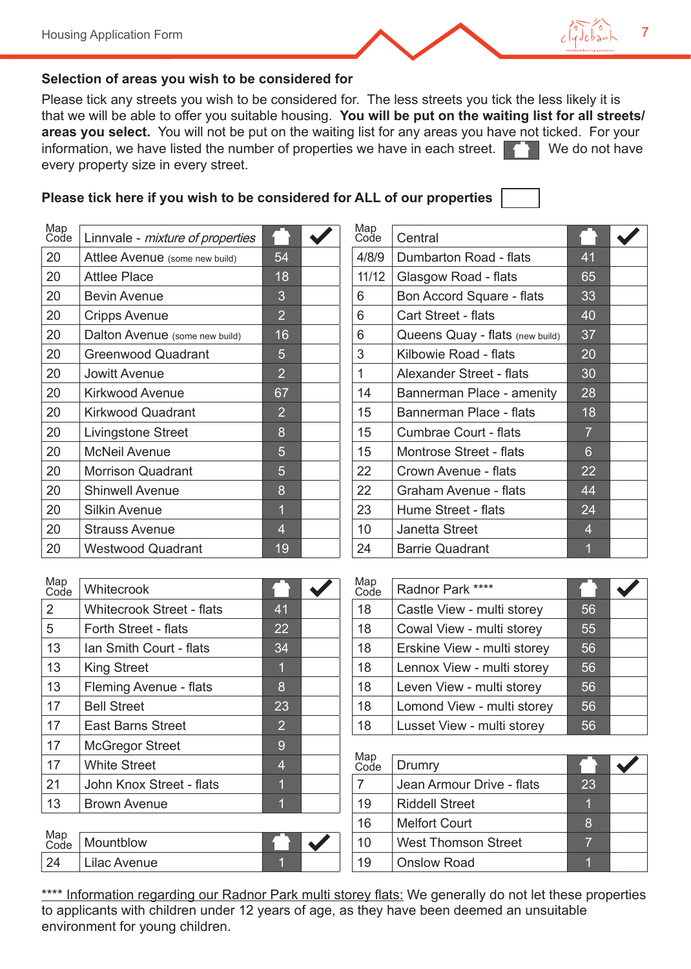

#### **Selection of areas you wish to be considered for**

Please tick any streets you wish to be considered for. The less streets you tick the less likely it is that we will be able to offer you suitable housing. **You will be put on the waiting list for all streets/ areas you select.** You will not be put on the waiting list for any areas you have not ticked. For your information, we have listed the number of properties we have in each street.  $\blacksquare$  We do not have every property size in every street.

### **Please tick here if you wish to be considered for ALL of our properties**

| Map<br>Code | Linnvale - mixture of properties |                | Map<br>Code | Central                         |                 |
|-------------|----------------------------------|----------------|-------------|---------------------------------|-----------------|
| 20          | Attlee Avenue (some new build)   | 54             | 4/8/9       | Dumbarton Road - flats          | 41              |
| 20          | <b>Attlee Place</b>              | 18             | 11/12       | Glasgow Road - flats            | 65              |
| 20          | <b>Bevin Avenue</b>              | 3              | 6           | Bon Accord Square - flats       | 33              |
| 20          | <b>Cripps Avenue</b>             | $\overline{2}$ | 6           | <b>Cart Street - flats</b>      | 40              |
| 20          | Dalton Avenue (some new build)   | 16             | 6           | Queens Quay - flats (new build) | 37              |
| 20          | <b>Greenwood Quadrant</b>        | 5              | 3           | Kilbowie Road - flats           | 20              |
| 20          | Jowitt Avenue                    | $\overline{2}$ | 1           | Alexander Street - flats        | 30              |
| 20          | <b>Kirkwood Avenue</b>           | 67             | 14          | Bannerman Place - amenity       | 28              |
| 20          | <b>Kirkwood Quadrant</b>         | $\overline{2}$ | 15          | Bannerman Place - flats         | 18              |
| 20          | <b>Livingstone Street</b>        | 8              | 15          | <b>Cumbrae Court - flats</b>    | $\overline{7}$  |
| 20          | <b>McNeil Avenue</b>             | 5              | 15          | <b>Montrose Street - flats</b>  | $6\phantom{1}6$ |
| 20          | <b>Morrison Quadrant</b>         | 5              | 22          | Crown Avenue - flats            | 22              |
| 20          | <b>Shinwell Avenue</b>           | 8              | 22          | <b>Graham Avenue - flats</b>    | 44              |
| 20          | <b>Silkin Avenue</b>             | $\overline{1}$ | 23          | Hume Street - flats             | 24              |
| 20          | <b>Strauss Avenue</b>            | $\overline{4}$ | 10          | Janetta Street                  | $\overline{4}$  |
| 20          | <b>Westwood Quadrant</b>         | 19             | 24          | <b>Barrie Quadrant</b>          |                 |

| Map<br>Code  | Central                         |                |  |
|--------------|---------------------------------|----------------|--|
| 4/8/9        | Dumbarton Road - flats          | 41             |  |
| 11/12        | Glasgow Road - flats            | 65             |  |
| 6            | Bon Accord Square - flats       | 33             |  |
| 6            | <b>Cart Street - flats</b>      | 40             |  |
| 6            | Queens Quay - flats (new build) | 37             |  |
| 3            | Kilbowie Road - flats           | 20             |  |
| $\mathbf{1}$ | Alexander Street - flats        | 30             |  |
| 14           | Bannerman Place - amenity       | 28             |  |
| 15           | <b>Bannerman Place - flats</b>  | 18             |  |
| 15           | <b>Cumbrae Court - flats</b>    | $\overline{7}$ |  |
| 15           | <b>Montrose Street - flats</b>  | 6              |  |
| 22           | Crown Avenue - flats            | 22             |  |
| 22           | Graham Avenue - flats           | 44             |  |
| 23           | Hume Street - flats             | 24             |  |
| 10           | <b>Janetta Street</b>           | $\overline{4}$ |  |
| 24           | <b>Barrie Quadrant</b>          | $\overline{1}$ |  |

| Map<br>Code | Whitecrook                       |                | Map<br>Code    | Radnor Park ****            |         |
|-------------|----------------------------------|----------------|----------------|-----------------------------|---------|
| 2           | <b>Whitecrook Street - flats</b> | 41             | 18             | Castle View - multi storey  | 56      |
| 5           | <b>Forth Street - flats</b>      | 22             | 18             | Cowal View - multi storey   | 55      |
| 13          | Ian Smith Court - flats          | 34             | 18             | Erskine View - multi storey | 56      |
| 13          | <b>King Street</b>               | 1              | 18             | Lennox View - multi storey  | 56      |
| 13          | Fleming Avenue - flats           | 8              | 18             | Leven View - multi storey   | 56      |
| 17          | <b>Bell Street</b>               | 23             | 18             | Lomond View - multi storey  | 56      |
| 17          | <b>East Barns Street</b>         | $\overline{2}$ | 18             | Lusset View - multi storey  | 56      |
| 17          | <b>McGregor Street</b>           | 9              |                |                             |         |
| 17          | <b>White Street</b>              | $\overline{4}$ | Map<br>Code    | Drumry                      |         |
| 21          | John Knox Street - flats         | 1              | $\overline{7}$ | Jean Armour Drive - flats   | 23      |
| 13          | <b>Brown Avenue</b>              | 1              | 19             | <b>Riddell Street</b>       |         |
|             |                                  |                | 1 <sup>C</sup> | $M$ olfort Court            | $\circ$ |

| Map<br>Code | Mountblow                      |  | $\overline{A}$ $\cap$<br>7 U | <b>West Thomson Street</b> |  |
|-------------|--------------------------------|--|------------------------------|----------------------------|--|
| 24          | .<br>Lilac Avenue <sub>-</sub> |  | 19                           | <b>Onslow Road</b>         |  |

| Map<br>Code | Radnor Park ****            |    |  |
|-------------|-----------------------------|----|--|
| 18          | Castle View - multi storey  | 56 |  |
| 18          | Cowal View - multi storey   | 55 |  |
| 18          | Erskine View - multi storey | 56 |  |
| 18          | Lennox View - multi storey  | 56 |  |
| 18          | Leven View - multi storey   | 56 |  |
| 18          | Lomond View - multi storey  | 56 |  |
| 18          | Lusset View - multi storey  | 56 |  |

| Map<br>Code | Drumry                     |    |  |
|-------------|----------------------------|----|--|
|             | Jean Armour Drive - flats  | 23 |  |
| 19          | <b>Riddell Street</b>      | 1  |  |
| 16          | <b>Melfort Court</b>       | 8  |  |
| 10          | <b>West Thomson Street</b> |    |  |
| 19          | <b>Onslow Road</b>         |    |  |

\*\*\*\* Information regarding our Radnor Park multi storey flats: We generally do not let these properties to applicants with children under 12 years of age, as they have been deemed an unsuitable environment for young children.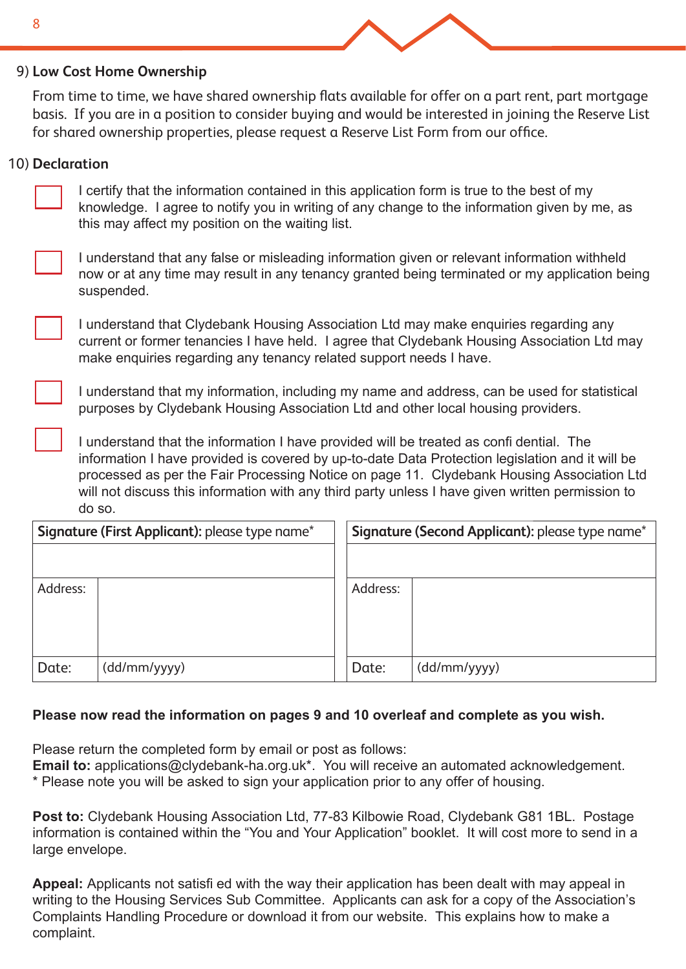#### **Low Cost Home Ownership** 9)

From time to time, we have shared ownership flats available for offer on a part rent, part mortgage basis. If you are in a position to consider buying and would be interested in joining the Reserve List for shared ownership properties, please request a Reserve List Form from our office.

#### 10) **Declaration**

I certify that the information contained in this application form is true to the best of my knowledge. I agree to notify you in writing of any change to the information given by me, as this may affect my position on the waiting list.

I understand that any false or misleading information given or relevant information withheld now or at any time may result in any tenancy granted being terminated or my application being suspended.

I understand that Clydebank Housing Association Ltd may make enquiries regarding any current or former tenancies I have held. I agree that Clydebank Housing Association Ltd may make enquiries regarding any tenancy related support needs I have.

I understand that my information, including my name and address, can be used for statistical purposes by Clydebank Housing Association Ltd and other local housing providers.

I understand that the information I have provided will be treated as confi dential. The information I have provided is covered by up-to-date Data Protection legislation and it will be processed as per the Fair Processing Notice on page 11. Clydebank Housing Association Ltd will not discuss this information with any third party unless I have given written permission to do so.

|          | Signature (First Applicant): please type name* |          | Signature (Second Applicant): please type name* |
|----------|------------------------------------------------|----------|-------------------------------------------------|
|          |                                                |          |                                                 |
| Address: |                                                | Address: |                                                 |
|          |                                                |          |                                                 |
|          |                                                |          |                                                 |
| Date:    | (dd/mm/yyyy)                                   | Date:    | (dd/mm/yyyy)                                    |

#### **Please now read the information on pages 9 and 10 overleaf and complete as you wish.**

Please return the completed form by email or post as follows:

**Email to:** applications@clydebank-ha.org.uk\*. You will receive an automated acknowledgement. \* Please note you will be asked to sign your application prior to any offer of housing.

**Post to:** Clydebank Housing Association Ltd, 77-83 Kilbowie Road, Clydebank G81 1BL. Postage information is contained within the "You and Your Application" booklet. It will cost more to send in a large envelope.

**Appeal:** Applicants not satisfi ed with the way their application has been dealt with may appeal in writing to the Housing Services Sub Committee. Applicants can ask for a copy of the Association's Complaints Handling Procedure or download it from our website. This explains how to make a complaint.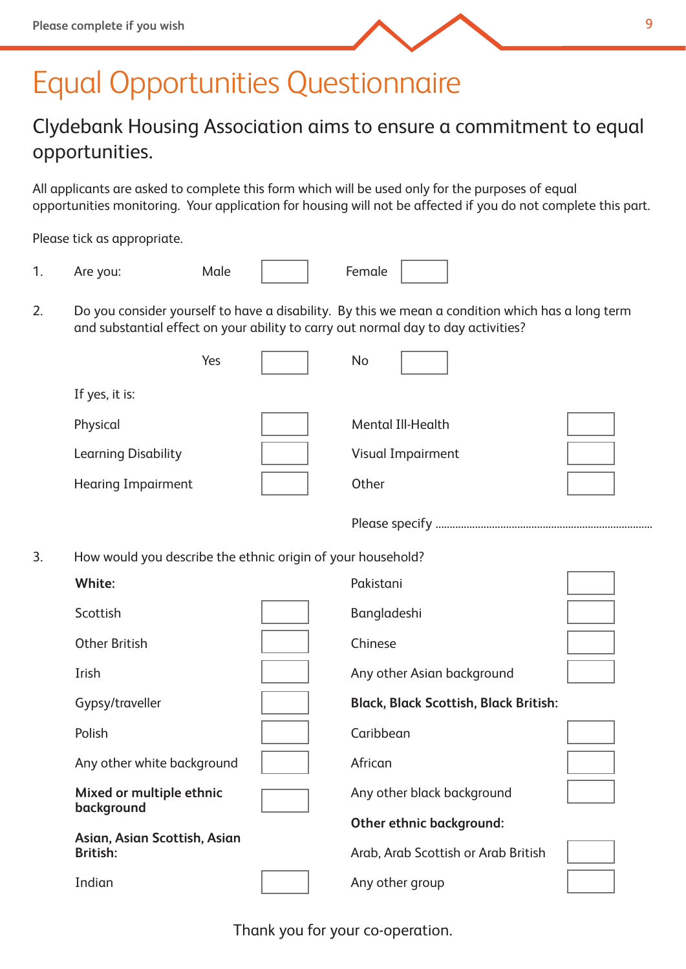

## Equal Opportunities Questionnaire

## Clydebank Housing Association aims to ensure a commitment to equal opportunities.

All applicants are asked to complete this form which will be used only for the purposes of equal opportunities monitoring. Your application for housing will not be affected if you do not complete this part.

Please tick as appropriate.

| $\overline{\phantom{a}}$ | Are you: | Male | Female |  |
|--------------------------|----------|------|--------|--|
|--------------------------|----------|------|--------|--|

2. Do you consider yourself to have a disability. By this we mean a condition which has a long term and substantial effect on your ability to carry out normal day to day activities?

|                            | Yes | No                       |  |
|----------------------------|-----|--------------------------|--|
| If yes, it is:             |     |                          |  |
| Physical                   |     | Mental III-Health        |  |
| <b>Learning Disability</b> |     | <b>Visual Impairment</b> |  |
| <b>Hearing Impairment</b>  |     | Other                    |  |

Please specify .............................................................................

3. How would you describe the ethnic origin of your household?

| White:                                          | Pakistani                                    |  |
|-------------------------------------------------|----------------------------------------------|--|
| Scottish                                        | Bangladeshi                                  |  |
| <b>Other British</b>                            | Chinese                                      |  |
| Irish                                           | Any other Asian background                   |  |
| Gypsy/traveller                                 | <b>Black, Black Scottish, Black British:</b> |  |
| Polish                                          | Caribbean                                    |  |
| Any other white background                      | African                                      |  |
| Mixed or multiple ethnic<br>background          | Any other black background                   |  |
|                                                 | <b>Other ethnic background:</b>              |  |
| Asian, Asian Scottish, Asian<br><b>British:</b> | Arab, Arab Scottish or Arab British          |  |
| Indian                                          | Any other group                              |  |
|                                                 |                                              |  |

9

Thank you for your co-operation.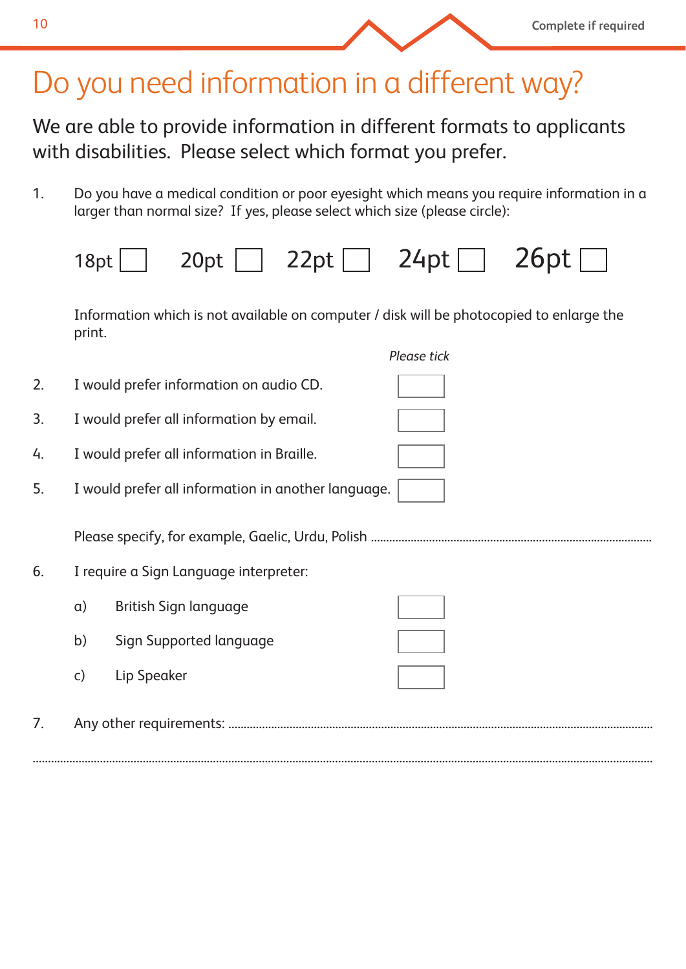## Do you need information in a different way?

We are able to provide information in different formats to applicants with disabilities. Please select which format you prefer.

**Complete if required**

1. Do you have a medical condition or poor eyesight which means you require information in a larger than normal size? If yes, please select which size (please circle):

|    | 18pt         | $20pt$ 22pt $\Box$ 24pt $\Box$                                                           |             | 26pt |
|----|--------------|------------------------------------------------------------------------------------------|-------------|------|
|    | print.       | Information which is not available on computer / disk will be photocopied to enlarge the |             |      |
|    |              |                                                                                          | Please tick |      |
| 2. |              | I would prefer information on audio CD.                                                  |             |      |
| 3. |              | I would prefer all information by email.                                                 |             |      |
| 4. |              | I would prefer all information in Braille.                                               |             |      |
| 5. |              | I would prefer all information in another language.                                      |             |      |
|    |              |                                                                                          |             |      |
| 6. |              | I require a Sign Language interpreter:                                                   |             |      |
|    | $\alpha$ )   | <b>British Sign language</b>                                                             |             |      |
|    | b)           | Sign Supported language                                                                  |             |      |
|    | $\mathsf{C}$ | Lip Speaker                                                                              |             |      |
| 7. |              |                                                                                          |             |      |

...........................................................................................................................................................................................................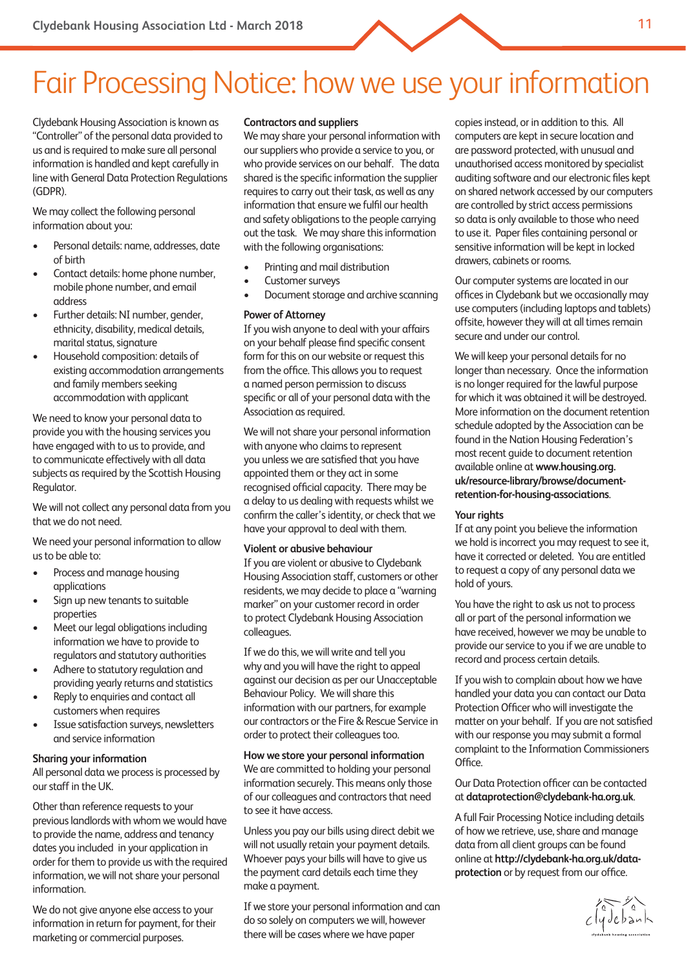## Fair Processing Notice: how we use your information

Clydebank Housing Association is known as "Controller" of the personal data provided to us and is required to make sure all personal information is handled and kept carefully in line with General Data Protection Regulations (GDPR).

We may collect the following personal information about you:

- Personal details: name, addresses, date of birth
- Contact details: home phone number, mobile phone number, and email address
- Further details: NI number, gender, ethnicity, disability, medical details, marital status, signature
- Household composition: details of existing accommodation arrangements and family members seeking accommodation with applicant

We need to know your personal data to provide you with the housing services you have engaged with to us to provide, and to communicate effectively with all data subjects as required by the Scottish Housing Regulator.

We will not collect any personal data from you that we do not need.

We need your personal information to allow us to be able to:

- Process and manage housing applications
- Sign up new tenants to suitable properties
- Meet our legal obligations including information we have to provide to regulators and statutory authorities
- Adhere to statutory regulation and providing yearly returns and statistics
- Reply to enquiries and contact all customers when requires
- Issue satisfaction surveys, newsletters and service information

#### **Sharing your information**

All personal data we process is processed by our staff in the UK.

Other than reference requests to your previous landlords with whom we would have to provide the name, address and tenancy dates you included in your application in order for them to provide us with the required information, we will not share your personal information.

We do not give anyone else access to your information in return for payment, for their marketing or commercial purposes.

#### **Contractors and suppliers**

We may share your personal information with our suppliers who provide a service to you, or who provide services on our behalf. The data shared is the specific information the supplier requires to carry out their task, as well as any information that ensure we fulfil our health and safety obligations to the people carrying out the task. We may share this information with the following organisations:

- Printing and mail distribution
- Customer surveys
- Document storage and archive scanning

#### **Power of Attorney**

If you wish anyone to deal with your affairs on your behalf please find specific consent form for this on our website or request this from the office. This allows you to request a named person permission to discuss specific or all of your personal data with the Association as required.

We will not share your personal information with anyone who claims to represent you unless we are satisfied that you have appointed them or they act in some recognised official capacity. There may be a delay to us dealing with requests whilst we confirm the caller's identity, or check that we have your approval to deal with them.

#### **Violent or abusive behaviour**

If you are violent or abusive to Clydebank Housing Association staff, customers or other residents, we may decide to place a "warning marker" on your customer record in order to protect Clydebank Housing Association colleagues.

If we do this, we will write and tell you why and you will have the right to appeal against our decision as per our Unacceptable Behaviour Policy. We will share this information with our partners, for example our contractors or the Fire & Rescue Service in order to protect their colleagues too.

#### **How we store your personal information**

We are committed to holding your personal information securely. This means only those of our colleagues and contractors that need to see it have access.

Unless you pay our bills using direct debit we will not usually retain your payment details. Whoever pays your bills will have to give us the payment card details each time they make a payment.

If we store your personal information and can do so solely on computers we will, however there will be cases where we have paper

copies instead, or in addition to this. All computers are kept in secure location and are password protected, with unusual and unauthorised access monitored by specialist auditing software and our electronic files kept on shared network accessed by our computers are controlled by strict access permissions so data is only available to those who need to use it. Paper files containing personal or sensitive information will be kept in locked drawers, cabinets or rooms.

Our computer systems are located in our offices in Clydebank but we occasionally may use computers (including laptops and tablets) offsite, however they will at all times remain secure and under our control.

We will keep your personal details for no longer than necessary. Once the information is no longer required for the lawful purpose for which it was obtained it will be destroyed. More information on the document retention schedule adopted by the Association can be found in the Nation Housing Federation's most recent guide to document retention available online at **www.housing.org. uk/resource-library/browse/documentretention-for-housing-associations**.

#### **Your rights**

If at any point you believe the information we hold is incorrect you may request to see it, have it corrected or deleted. You are entitled to request a copy of any personal data we hold of yours.

You have the right to ask us not to process all or part of the personal information we have received, however we may be unable to provide our service to you if we are unable to record and process certain details.

If you wish to complain about how we have handled your data you can contact our Data Protection Officer who will investigate the matter on your behalf. If you are not satisfied with our response you may submit a formal complaint to the Information Commissioners Office.

#### Our Data Protection officer can be contacted at **dataprotection@clydebank-ha.org.uk**.

A full Fair Processing Notice including details of how we retrieve, use, share and manage data from all client groups can be found online at **http://clydebank-ha.org.uk/data**protection or by request from our office.